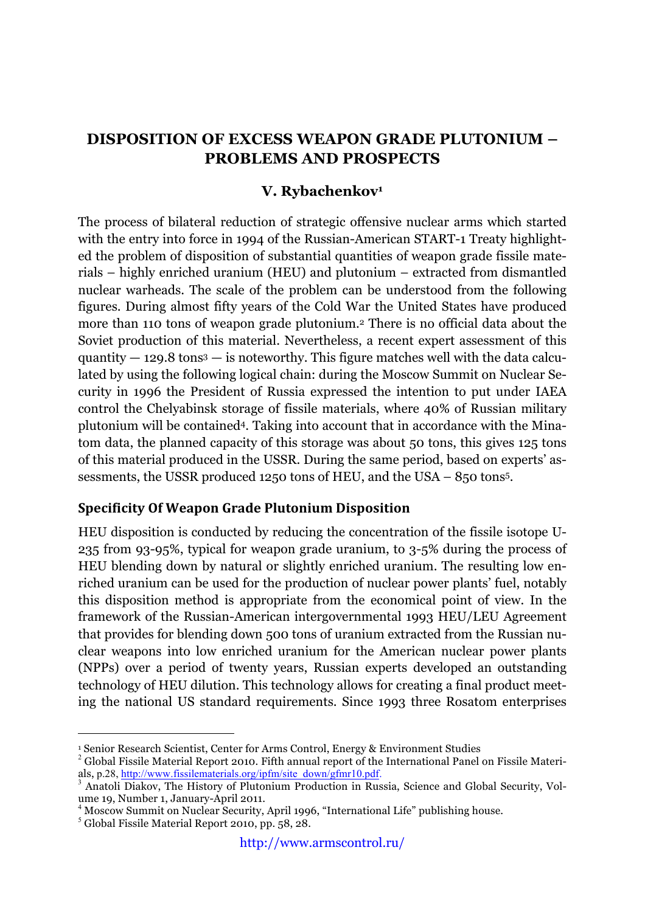## **DISPOSITION OF EXCESS WEAPON GRADE PLUTONIUM – PROBLEMS AND PROSPECTS**

#### **V. Rybachenkov1**

The process of bilateral reduction of strategic offensive nuclear arms which started with the entry into force in 1994 of the Russian-American START-1 Treaty highlighted the problem of disposition of substantial quantities of weapon grade fissile materials – highly enriched uranium (HEU) and plutonium – extracted from dismantled nuclear warheads. The scale of the problem can be understood from the following figures. During almost fifty years of the Cold War the United States have produced more than 110 tons of weapon grade plutonium.2 There is no official data about the Soviet production of this material. Nevertheless, a recent expert assessment of this quantity  $-129.8$  tons<sup>3</sup>  $-$  is noteworthy. This figure matches well with the data calculated by using the following logical chain: during the Moscow Summit on Nuclear Security in 1996 the President of Russia expressed the intention to put under IAEA control the Chelyabinsk storage of fissile materials, where 40% of Russian military plutonium will be contained4. Taking into account that in accordance with the Minatom data, the planned capacity of this storage was about 50 tons, this gives 125 tons of this material produced in the USSR. During the same period, based on experts' assessments, the USSR produced 1250 tons of HEU, and the USA – 850 tons5.

#### **Specificity)Of)Weapon)Grade)Plutonium)Disposition**

HEU disposition is conducted by reducing the concentration of the fissile isotope U-235 from 93-95%, typical for weapon grade uranium, to 3-5% during the process of HEU blending down by natural or slightly enriched uranium. The resulting low enriched uranium can be used for the production of nuclear power plants' fuel, notably this disposition method is appropriate from the economical point of view. In the framework of the Russian-American intergovernmental 1993 HEU/LEU Agreement that provides for blending down 500 tons of uranium extracted from the Russian nuclear weapons into low enriched uranium for the American nuclear power plants (NPPs) over a period of twenty years, Russian experts developed an outstanding technology of HEU dilution. This technology allows for creating a final product meeting the national US standard requirements. Since 1993 three Rosatom enterprises

<sup>&</sup>lt;sup>1</sup> Senior Research Scientist, Center for Arms Control, Energy & Environment Studies <sup>2</sup> Global Fissile Material Report 2010. Fifth annual report of the International Panel on Fissile Materials, p.28, http://www.fissilema

<sup>&</sup>lt;sup>3</sup> Anatoli Diakov, The History of Plutonium Production in Russia, Science and Global Security, Vol-<br>ume 19, Number 1, January-April 2011.

<sup>&</sup>lt;sup>4</sup> Moscow Summit on Nuclear Security, April 1996, "International Life" publishing house.  $5$  Global Fissile Material Report 2010, pp. 58, 28.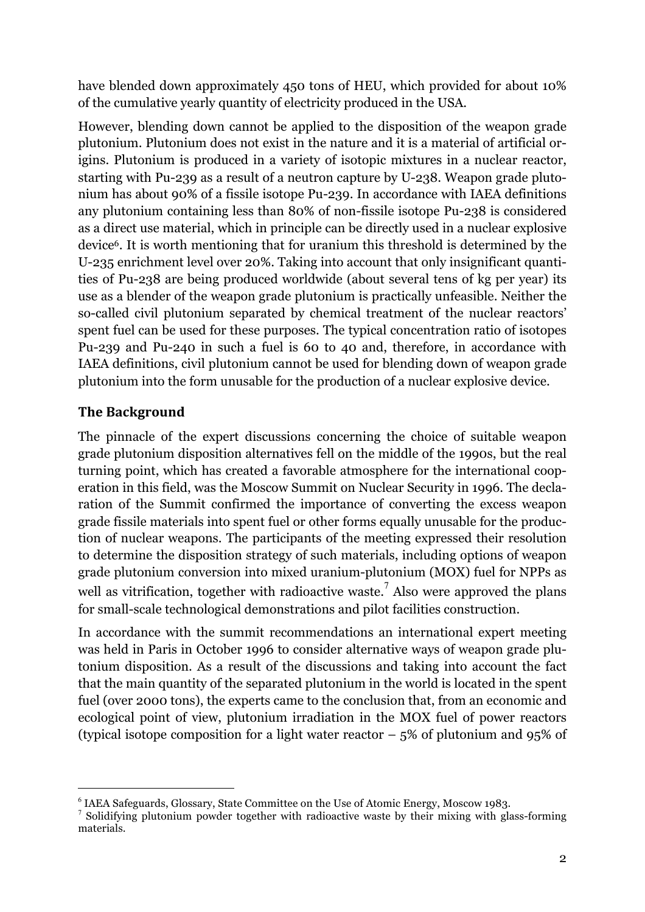have blended down approximately 450 tons of HEU, which provided for about 10% of the cumulative yearly quantity of electricity produced in the USA.

However, blending down cannot be applied to the disposition of the weapon grade plutonium. Plutonium does not exist in the nature and it is a material of artificial origins. Plutonium is produced in a variety of isotopic mixtures in a nuclear reactor, starting with Pu-239 as a result of a neutron capture by U-238. Weapon grade plutonium has about 90% of a fissile isotope Pu-239. In accordance with IAEA definitions any plutonium containing less than 80% of non-fissile isotope Pu-238 is considered as a direct use material, which in principle can be directly used in a nuclear explosive device6. It is worth mentioning that for uranium this threshold is determined by the U-235 enrichment level over 20%. Taking into account that only insignificant quantities of Pu-238 are being produced worldwide (about several tens of kg per year) its use as a blender of the weapon grade plutonium is practically unfeasible. Neither the so-called civil plutonium separated by chemical treatment of the nuclear reactors' spent fuel can be used for these purposes. The typical concentration ratio of isotopes Pu-239 and Pu-240 in such a fuel is 60 to 40 and, therefore, in accordance with IAEA definitions, civil plutonium cannot be used for blending down of weapon grade plutonium into the form unusable for the production of a nuclear explosive device.

#### **The Background**

 $\overline{a}$ 

The pinnacle of the expert discussions concerning the choice of suitable weapon grade plutonium disposition alternatives fell on the middle of the 1990s, but the real turning point, which has created a favorable atmosphere for the international cooperation in this field, was the Moscow Summit on Nuclear Security in 1996. The declaration of the Summit confirmed the importance of converting the excess weapon grade fissile materials into spent fuel or other forms equally unusable for the production of nuclear weapons. The participants of the meeting expressed their resolution to determine the disposition strategy of such materials, including options of weapon grade plutonium conversion into mixed uranium-plutonium (MOX) fuel for NPPs as well as vitrification, together with radioactive waste.<sup>7</sup> Also were approved the plans for small-scale technological demonstrations and pilot facilities construction.

In accordance with the summit recommendations an international expert meeting was held in Paris in October 1996 to consider alternative ways of weapon grade plutonium disposition. As a result of the discussions and taking into account the fact that the main quantity of the separated plutonium in the world is located in the spent fuel (over 2000 tons), the experts came to the conclusion that, from an economic and ecological point of view, plutonium irradiation in the MOX fuel of power reactors (typical isotope composition for a light water reactor – 5% of plutonium and 95% of

<sup>&</sup>lt;sup>6</sup> IAEA Safeguards, Glossary, State Committee on the Use of Atomic Energy, Moscow 1983.<br><sup>7</sup> Solidifying plutonium powder together with radioactive waste by their mixing with glass-forming materials.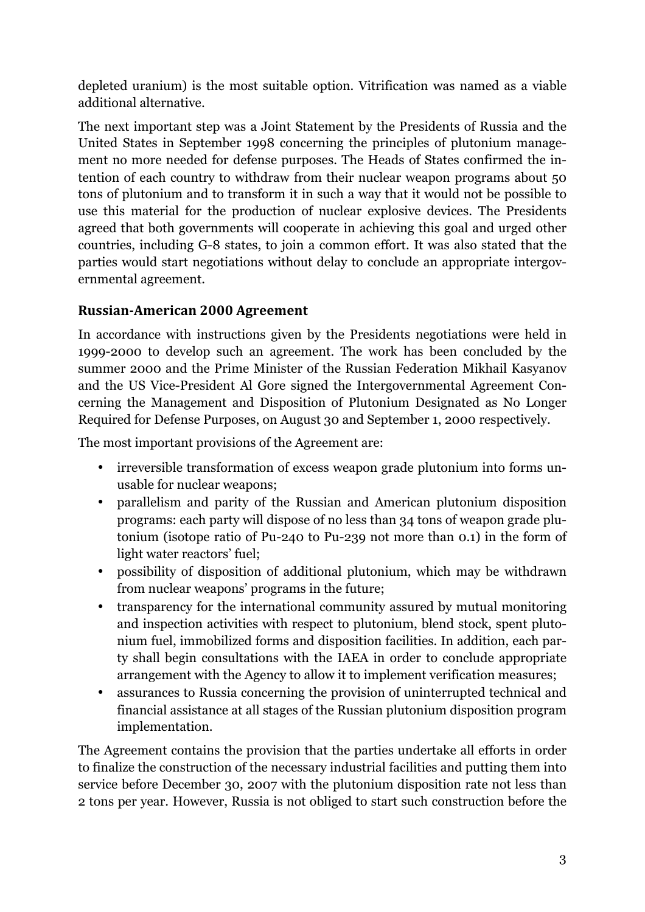depleted uranium) is the most suitable option. Vitrification was named as a viable additional alternative.

The next important step was a Joint Statement by the Presidents of Russia and the United States in September 1998 concerning the principles of plutonium management no more needed for defense purposes. The Heads of States confirmed the intention of each country to withdraw from their nuclear weapon programs about 50 tons of plutonium and to transform it in such a way that it would not be possible to use this material for the production of nuclear explosive devices. The Presidents agreed that both governments will cooperate in achieving this goal and urged other countries, including G-8 states, to join a common effort. It was also stated that the parties would start negotiations without delay to conclude an appropriate intergovernmental agreement.

## **Russian>American)2000)Agreement**

In accordance with instructions given by the Presidents negotiations were held in 1999-2000 to develop such an agreement. The work has been concluded by the summer 2000 and the Prime Minister of the Russian Federation Mikhail Kasyanov and the US Vice-President Al Gore signed the Intergovernmental Agreement Concerning the Management and Disposition of Plutonium Designated as No Longer Required for Defense Purposes, on August 30 and September 1, 2000 respectively.

The most important provisions of the Agreement are:

- irreversible transformation of excess weapon grade plutonium into forms unusable for nuclear weapons;
- parallelism and parity of the Russian and American plutonium disposition programs: each party will dispose of no less than 34 tons of weapon grade plutonium (isotope ratio of Pu-240 to Pu-239 not more than 0.1) in the form of light water reactors' fuel;
- possibility of disposition of additional plutonium, which may be withdrawn from nuclear weapons' programs in the future;
- transparency for the international community assured by mutual monitoring and inspection activities with respect to plutonium, blend stock, spent plutonium fuel, immobilized forms and disposition facilities. In addition, each party shall begin consultations with the IAEA in order to conclude appropriate arrangement with the Agency to allow it to implement verification measures;
- assurances to Russia concerning the provision of uninterrupted technical and financial assistance at all stages of the Russian plutonium disposition program implementation.

The Agreement contains the provision that the parties undertake all efforts in order to finalize the construction of the necessary industrial facilities and putting them into service before December 30, 2007 with the plutonium disposition rate not less than 2 tons per year. However, Russia is not obliged to start such construction before the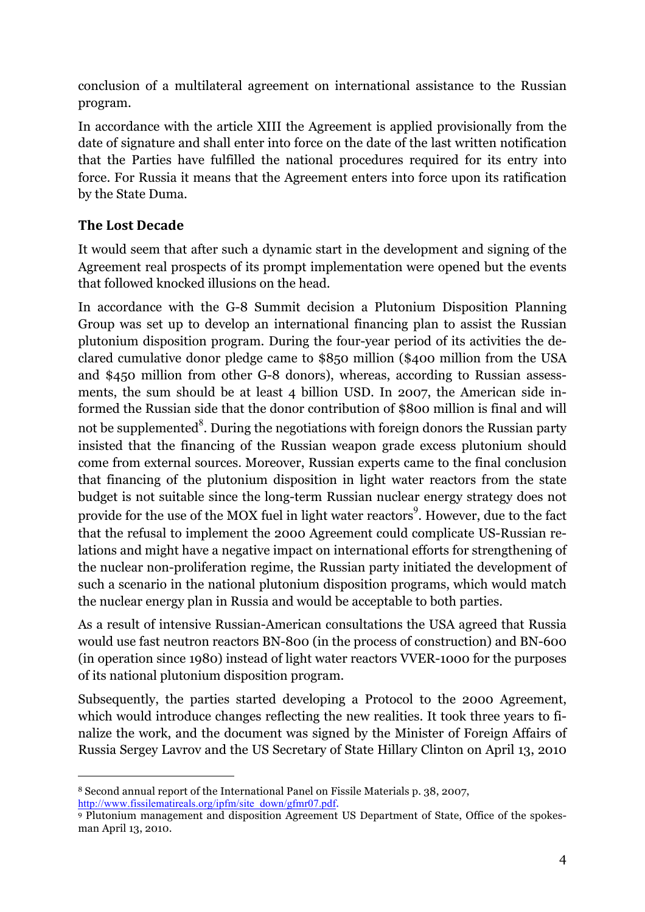conclusion of a multilateral agreement on international assistance to the Russian program.

In accordance with the article XIII the Agreement is applied provisionally from the date of signature and shall enter into force on the date of the last written notification that the Parties have fulfilled the national procedures required for its entry into force. For Russia it means that the Agreement enters into force upon its ratification by the State Duma.

## **The Lost Decade**

It would seem that after such a dynamic start in the development and signing of the Agreement real prospects of its prompt implementation were opened but the events that followed knocked illusions on the head.

In accordance with the G-8 Summit decision a Plutonium Disposition Planning Group was set up to develop an international financing plan to assist the Russian plutonium disposition program. During the four-year period of its activities the declared cumulative donor pledge came to \$850 million (\$400 million from the USA and \$450 million from other G-8 donors), whereas, according to Russian assessments, the sum should be at least 4 billion USD. In 2007, the American side informed the Russian side that the donor contribution of \$800 million is final and will not be supplemented $\rm^8$ . During the negotiations with foreign donors the Russian party insisted that the financing of the Russian weapon grade excess plutonium should come from external sources. Moreover, Russian experts came to the final conclusion that financing of the plutonium disposition in light water reactors from the state budget is not suitable since the long-term Russian nuclear energy strategy does not provide for the use of the MOX fuel in light water reactors $\overset{9}{\cdot}$ . However, due to the fact that the refusal to implement the 2000 Agreement could complicate US-Russian relations and might have a negative impact on international efforts for strengthening of the nuclear non-proliferation regime, the Russian party initiated the development of such a scenario in the national plutonium disposition programs, which would match the nuclear energy plan in Russia and would be acceptable to both parties.

As a result of intensive Russian-American consultations the USA agreed that Russia would use fast neutron reactors BN-800 (in the process of construction) and BN-600 (in operation since 1980) instead of light water reactors VVER-1000 for the purposes of its national plutonium disposition program.

Subsequently, the parties started developing a Protocol to the 2000 Agreement, which would introduce changes reflecting the new realities. It took three years to finalize the work, and the document was signed by the Minister of Foreign Affairs of Russia Sergey Lavrov and the US Secretary of State Hillary Clinton on April 13, 2010

 <sup>8</sup> Second annual report of the International Panel on Fissile Materials p. 38, 2007, http://www.fissilematireals.org/ipfm/site\_down/gfmr07.pdf.

<sup>&</sup>lt;sup>9</sup> Plutonium management and disposition Agreement US Department of State, Office of the spokesman April 13, 2010.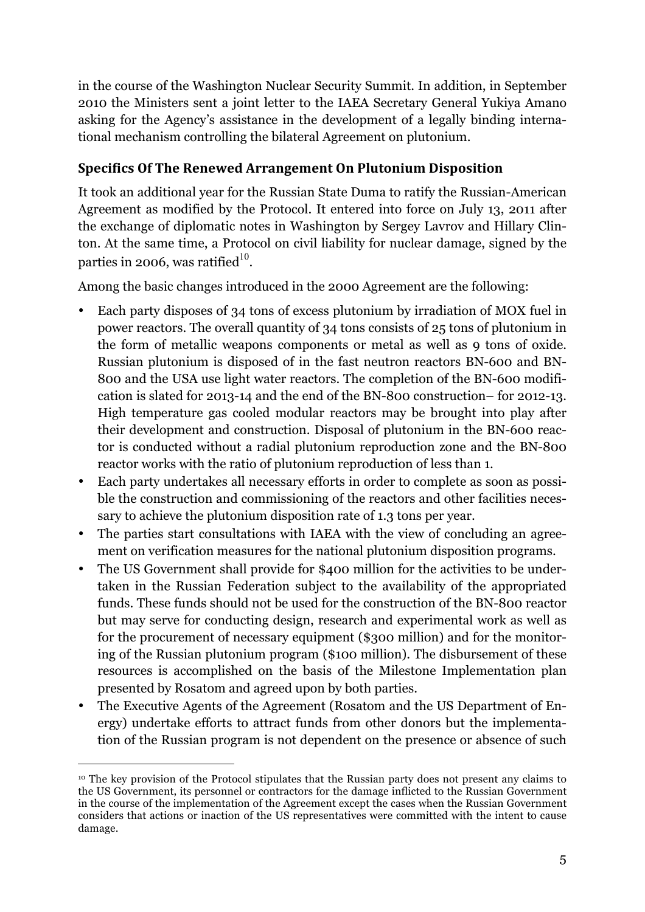in the course of the Washington Nuclear Security Summit. In addition, in September 2010 the Ministers sent a joint letter to the IAEA Secretary General Yukiya Amano asking for the Agency's assistance in the development of a legally binding international mechanism controlling the bilateral Agreement on plutonium.

## **Specifics)Of)The)Renewed)Arrangement)On)Plutonium)Disposition**

It took an additional year for the Russian State Duma to ratify the Russian-American Agreement as modified by the Protocol. It entered into force on July 13, 2011 after the exchange of diplomatic notes in Washington by Sergey Lavrov and Hillary Clinton. At the same time, a Protocol on civil liability for nuclear damage, signed by the parties in 2006, was ratified $10$ .

Among the basic changes introduced in the 2000 Agreement are the following:

- Each party disposes of 34 tons of excess plutonium by irradiation of MOX fuel in power reactors. The overall quantity of 34 tons consists of 25 tons of plutonium in the form of metallic weapons components or metal as well as 9 tons of oxide. Russian plutonium is disposed of in the fast neutron reactors BN-600 and BN-800 and the USA use light water reactors. The completion of the BN-600 modification is slated for 2013-14 and the end of the BN-800 construction– for 2012-13. High temperature gas cooled modular reactors may be brought into play after their development and construction. Disposal of plutonium in the BN-600 reactor is conducted without a radial plutonium reproduction zone and the BN-800 reactor works with the ratio of plutonium reproduction of less than 1.
- Each party undertakes all necessary efforts in order to complete as soon as possible the construction and commissioning of the reactors and other facilities necessary to achieve the plutonium disposition rate of 1.3 tons per year.
- The parties start consultations with IAEA with the view of concluding an agreement on verification measures for the national plutonium disposition programs.
- The US Government shall provide for \$400 million for the activities to be undertaken in the Russian Federation subject to the availability of the appropriated funds. These funds should not be used for the construction of the BN-800 reactor but may serve for conducting design, research and experimental work as well as for the procurement of necessary equipment (\$300 million) and for the monitoring of the Russian plutonium program (\$100 million). The disbursement of these resources is accomplished on the basis of the Milestone Implementation plan presented by Rosatom and agreed upon by both parties.
- The Executive Agents of the Agreement (Rosatom and the US Department of Energy) undertake efforts to attract funds from other donors but the implementation of the Russian program is not dependent on the presence or absence of such

 <sup>10</sup> The key provision of the Protocol stipulates that the Russian party does not present any claims to the US Government, its personnel or contractors for the damage inflicted to the Russian Government in the course of the implementation of the Agreement except the cases when the Russian Government considers that actions or inaction of the US representatives were committed with the intent to cause damage.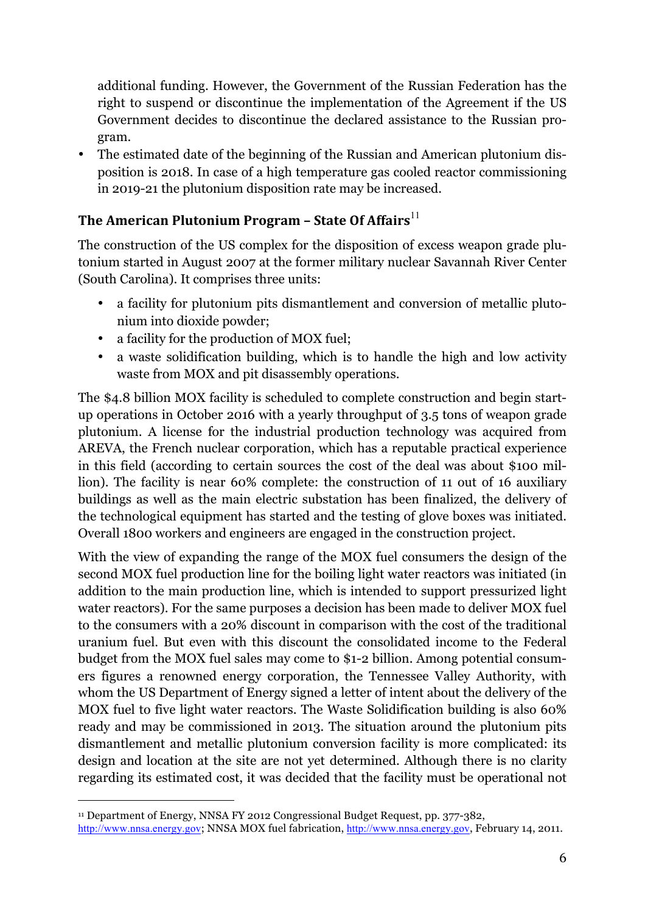additional funding. However, the Government of the Russian Federation has the right to suspend or discontinue the implementation of the Agreement if the US Government decides to discontinue the declared assistance to the Russian program.

• The estimated date of the beginning of the Russian and American plutonium disposition is 2018. In case of a high temperature gas cooled reactor commissioning in 2019-21 the plutonium disposition rate may be increased.

# The American Plutonium Program - State Of Affairs<sup>11</sup>

The construction of the US complex for the disposition of excess weapon grade plutonium started in August 2007 at the former military nuclear Savannah River Center (South Carolina). It comprises three units:

- a facility for plutonium pits dismantlement and conversion of metallic plutonium into dioxide powder;
- a facility for the production of MOX fuel;
- a waste solidification building, which is to handle the high and low activity waste from MOX and pit disassembly operations.

The \$4.8 billion MOX facility is scheduled to complete construction and begin startup operations in October 2016 with a yearly throughput of 3.5 tons of weapon grade plutonium. A license for the industrial production technology was acquired from AREVA, the French nuclear corporation, which has a reputable practical experience in this field (according to certain sources the cost of the deal was about \$100 million). The facility is near 60% complete: the construction of 11 out of 16 auxiliary buildings as well as the main electric substation has been finalized, the delivery of the technological equipment has started and the testing of glove boxes was initiated. Overall 1800 workers and engineers are engaged in the construction project.

With the view of expanding the range of the MOX fuel consumers the design of the second MOX fuel production line for the boiling light water reactors was initiated (in addition to the main production line, which is intended to support pressurized light water reactors). For the same purposes a decision has been made to deliver MOX fuel to the consumers with a 20% discount in comparison with the cost of the traditional uranium fuel. But even with this discount the consolidated income to the Federal budget from the MOX fuel sales may come to \$1-2 billion. Among potential consumers figures a renowned energy corporation, the Tennessee Valley Authority, with whom the US Department of Energy signed a letter of intent about the delivery of the MOX fuel to five light water reactors. The Waste Solidification building is also 60% ready and may be commissioned in 2013. The situation around the plutonium pits dismantlement and metallic plutonium conversion facility is more complicated: its design and location at the site are not yet determined. Although there is no clarity regarding its estimated cost, it was decided that the facility must be operational not

<sup>&</sup>lt;sup>11</sup> Department of Energy, NNSA FY 2012 Congressional Budget Request, pp. 377-382, http://www.nnsa.energy.gov; NNSA MOX fuel fabrication, http://www.nnsa.energy.gov, February 14, 2011.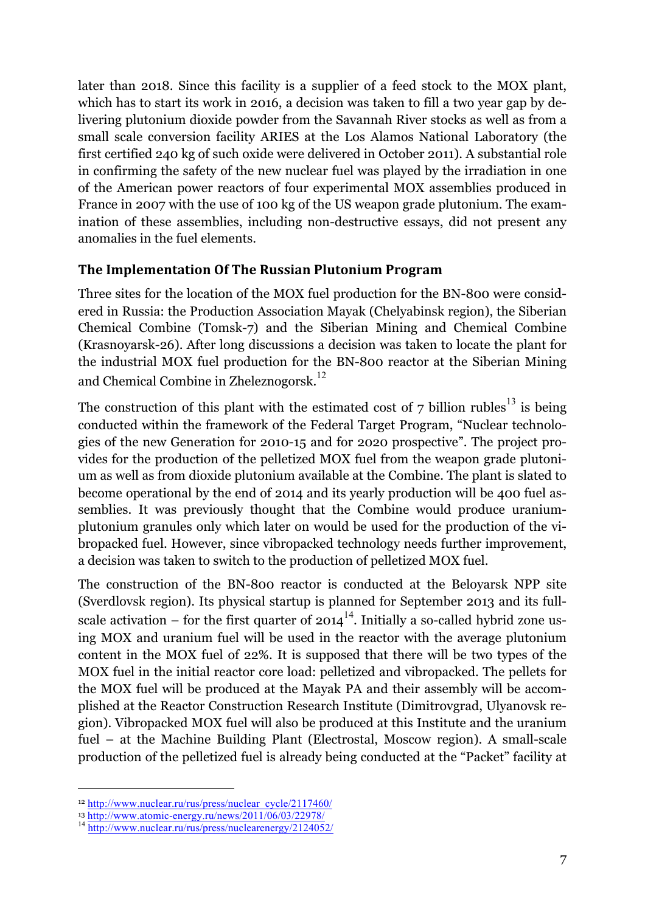later than 2018. Since this facility is a supplier of a feed stock to the MOX plant, which has to start its work in 2016, a decision was taken to fill a two year gap by delivering plutonium dioxide powder from the Savannah River stocks as well as from a small scale conversion facility ARIES at the Los Alamos National Laboratory (the first certified 240 kg of such oxide were delivered in October 2011). A substantial role in confirming the safety of the new nuclear fuel was played by the irradiation in one of the American power reactors of four experimental MOX assemblies produced in France in 2007 with the use of 100 kg of the US weapon grade plutonium. The examination of these assemblies, including non-destructive essays, did not present any anomalies in the fuel elements.

#### **The)Implementation)Of)The Russian)Plutonium)Program**

Three sites for the location of the MOX fuel production for the BN-800 were considered in Russia: the Production Association Mayak (Chelyabinsk region), the Siberian Chemical Combine (Tomsk-7) and the Siberian Mining and Chemical Combine (Krasnoyarsk-26). After long discussions a decision was taken to locate the plant for the industrial MOX fuel production for the BN-800 reactor at the Siberian Mining and Chemical Combine in Zheleznogorsk.<sup>12</sup>

The construction of this plant with the estimated cost of  $7$  billion rubles<sup>13</sup> is being conducted within the framework of the Federal Target Program, "Nuclear technologies of the new Generation for 2010-15 and for 2020 prospective". The project provides for the production of the pelletized MOX fuel from the weapon grade plutonium as well as from dioxide plutonium available at the Combine. The plant is slated to become operational by the end of 2014 and its yearly production will be 400 fuel assemblies. It was previously thought that the Combine would produce uraniumplutonium granules only which later on would be used for the production of the vibropacked fuel. However, since vibropacked technology needs further improvement, a decision was taken to switch to the production of pelletized MOX fuel.

The construction of the BN-800 reactor is conducted at the Beloyarsk NPP site (Sverdlovsk region). Its physical startup is planned for September 2013 and its fullscale activation – for the first quarter of  $2014^{14}$ . Initially a so-called hybrid zone using MOX and uranium fuel will be used in the reactor with the average plutonium content in the MOX fuel of 22%. It is supposed that there will be two types of the MOX fuel in the initial reactor core load: pelletized and vibropacked. The pellets for the MOX fuel will be produced at the Mayak PA and their assembly will be accomplished at the Reactor Construction Research Institute (Dimitrovgrad, Ulyanovsk region). Vibropacked MOX fuel will also be produced at this Institute and the uranium fuel – at the Machine Building Plant (Electrostal, Moscow region). A small-scale production of the pelletized fuel is already being conducted at the "Packet" facility at

<sup>&</sup>lt;sup>12</sup> http://www.nuclear.ru/rus/press/nuclear\_cycle/2117460/<br><sup>13</sup> http://www.atomic-energy.ru/news/2011/06/03/22978/

 $^{14}$  http://www.nuclear.ru/rus/press/nuclearenergy/2124052/